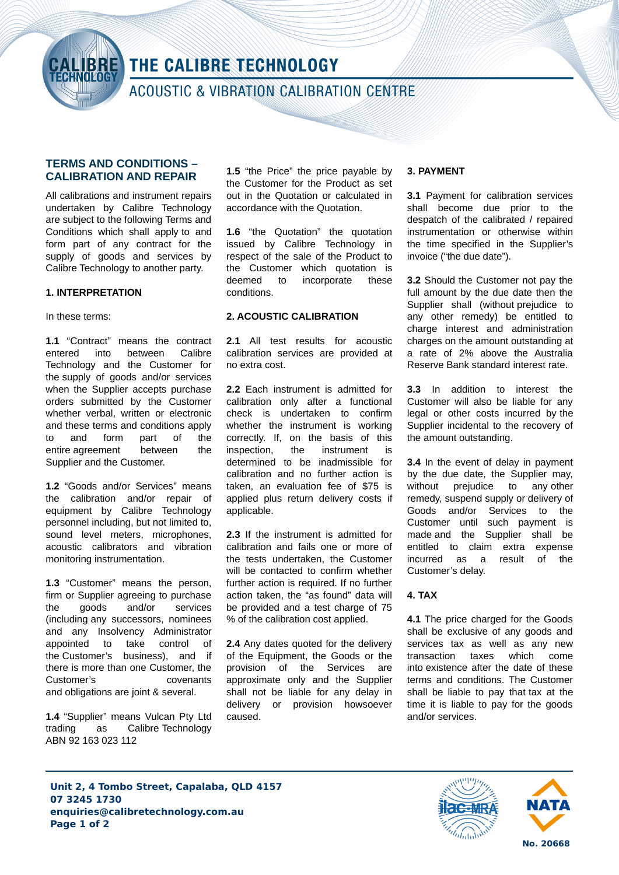

# THE CALIBRE TECHNOLOGY

**ACOUSTIC & VIBRATION CALIBRATION CENTRE** 

## **TERMS AND CONDITIONS – CALIBRATION AND REPAIR**

All calibrations and instrument repairs undertaken by Calibre Technology are subject to the following Terms and Conditions which shall apply to and form part of any contract for the supply of goods and services by Calibre Technology to another party.

## **1. INTERPRETATION**

In these terms:

**1.1** "Contract" means the contract entered into between Calibre Technology and the Customer for the supply of goods and/or services when the Supplier accepts purchase orders submitted by the Customer whether verbal, written or electronic and these terms and conditions apply to and form part of the entire agreement between the Supplier and the Customer.

**1.2** "Goods and/or Services" means the calibration and/or repair of equipment by Calibre Technology personnel including, but not limited to, sound level meters, microphones, acoustic calibrators and vibration monitoring instrumentation.

**1.3** "Customer" means the person, firm or Supplier agreeing to purchase the goods and/or services (including any successors, nominees and any Insolvency Administrator appointed to take control of the Customer's business), and if there is more than one Customer, the Customer's covenants and obligations are joint & several.

**1.4** "Supplier" means Vulcan Pty Ltd trading as Calibre Technology ABN 92 163 023 112

**1.5** "the Price" the price payable by the Customer for the Product as set out in the Quotation or calculated in accordance with the Quotation.

**1.6** "the Quotation" the quotation issued by Calibre Technology in respect of the sale of the Product to the Customer which quotation is deemed to incorporate these conditions.

### **2. ACOUSTIC CALIBRATION**

**2.1** All test results for acoustic calibration services are provided at no extra cost.

**2.2** Each instrument is admitted for calibration only after a functional check is undertaken to confirm whether the instrument is working correctly. If, on the basis of this inspection, the instrument is determined to be inadmissible for calibration and no further action is taken, an evaluation fee of \$75 is applied plus return delivery costs if applicable.

**2.3** If the instrument is admitted for calibration and fails one or more of the tests undertaken, the Customer will be contacted to confirm whether further action is required. If no further action taken, the "as found" data will be provided and a test charge of 75 % of the calibration cost applied.

**2.4** Any dates quoted for the delivery of the Equipment, the Goods or the provision of the Services are approximate only and the Supplier shall not be liable for any delay in delivery or provision howsoever caused.

### **3. PAYMENT**

**3.1** Payment for calibration services shall become due prior to the despatch of the calibrated / repaired instrumentation or otherwise within the time specified in the Supplier's invoice ("the due date").

**3.2** Should the Customer not pay the full amount by the due date then the Supplier shall (without prejudice to any other remedy) be entitled to charge interest and administration charges on the amount outstanding at a rate of 2% above the Australia Reserve Bank standard interest rate.

**3.3** In addition to interest the Customer will also be liable for any legal or other costs incurred by the Supplier incidental to the recovery of the amount outstanding.

**3.4** In the event of delay in payment by the due date, the Supplier may, without prejudice to any other remedy, suspend supply or delivery of Goods and/or Services to the Customer until such payment is made and the Supplier shall be entitled to claim extra expense incurred as a result of the Customer's delay.

### **4. TAX**

**4.1** The price charged for the Goods shall be exclusive of any goods and services tax as well as any new transaction taxes which come into existence after the date of these terms and conditions. The Customer shall be liable to pay that tax at the time it is liable to pay for the goods and/or services.